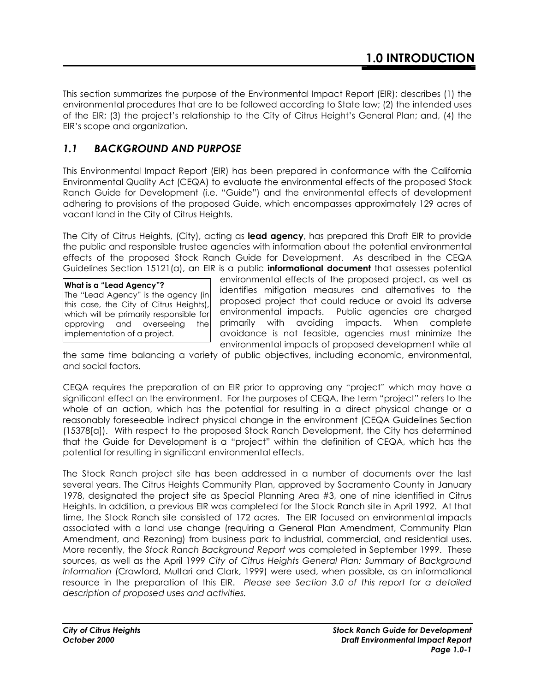This section summarizes the purpose of the Environmental Impact Report (EIR); describes (1) the environmental procedures that are to be followed according to State law; (2) the intended uses of the EIR; (3) the project's relationship to the City of Citrus Height's General Plan; and, (4) the EIR's scope and organization.

# *1.1 BACKGROUND AND PURPOSE*

This Environmental Impact Report (EIR) has been prepared in conformance with the California Environmental Quality Act (CEQA) to evaluate the environmental effects of the proposed Stock Ranch Guide for Development (i.e. "Guide") and the environmental effects of development adhering to provisions of the proposed Guide, which encompasses approximately 129 acres of vacant land in the City of Citrus Heights.

The City of Citrus Heights, (City), acting as **lead agency**, has prepared this Draft EIR to provide the public and responsible trustee agencies with information about the potential environmental effects of the proposed Stock Ranch Guide for Development. As described in the CEQA Guidelines Section 15121(a), an EIR is a public **informational document** that assesses potential

**What is a "Lead Agency"?** The "Lead Agency" is the agency (in this case, the City of Citrus Heights), which will be primarily responsible for approving and overseeing the implementation of a project.

environmental effects of the proposed project, as well as identifies mitigation measures and alternatives to the proposed project that could reduce or avoid its adverse environmental impacts. Public agencies are charged primarily with avoiding impacts. When complete avoidance is not feasible, agencies must minimize the environmental impacts of proposed development while at

the same time balancing a variety of public objectives, including economic, environmental, and social factors.

CEQA requires the preparation of an EIR prior to approving any "project" which may have a significant effect on the environment. For the purposes of CEQA, the term "project" refers to the whole of an action, which has the potential for resulting in a direct physical change or a reasonably foreseeable indirect physical change in the environment (CEQA Guidelines Section (15378[a]). With respect to the proposed Stock Ranch Development, the City has determined that the Guide for Development is a "project" within the definition of CEQA, which has the potential for resulting in significant environmental effects.

The Stock Ranch project site has been addressed in a number of documents over the last several years. The Citrus Heights Community Plan, approved by Sacramento County in January 1978, designated the project site as Special Planning Area #3, one of nine identified in Citrus Heights. In addition, a previous EIR was completed for the Stock Ranch site in April 1992. At that time, the Stock Ranch site consisted of 172 acres. The EIR focused on environmental impacts associated with a land use change (requiring a General Plan Amendment, Community Plan Amendment, and Rezoning) from business park to industrial, commercial, and residential uses. More recently, the *Stock Ranch Background Report* was completed in September 1999. These sources, as well as the April 1999 *City of Citrus Heights General Plan: Summary of Background Information* (Crawford, Multari and Clark, 1999) were used, when possible, as an informational resource in the preparation of this EIR. *Please see Section 3.0 of this report for a detailed description of proposed uses and activities.*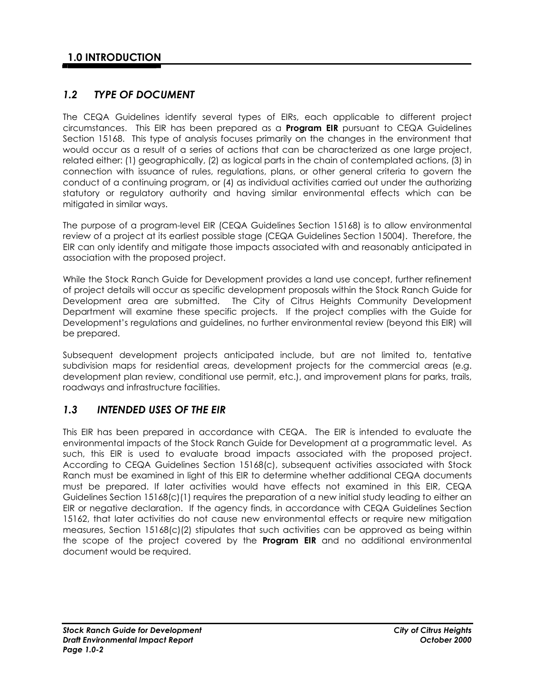# *1.2 TYPE OF DOCUMENT*

The CEQA Guidelines identify several types of EIRs, each applicable to different project circumstances. This EIR has been prepared as a **Program EIR** pursuant to CEQA Guidelines Section 15168. This type of analysis focuses primarily on the changes in the environment that would occur as a result of a series of actions that can be characterized as one large project, related either: (1) geographically, (2) as logical parts in the chain of contemplated actions, (3) in connection with issuance of rules, regulations, plans, or other general criteria to govern the conduct of a continuing program, or (4) as individual activities carried out under the authorizing statutory or regulatory authority and having similar environmental effects which can be mitigated in similar ways.

The purpose of a program-level EIR (CEQA Guidelines Section 15168) is to allow environmental review of a project at its earliest possible stage (CEQA Guidelines Section 15004). Therefore, the EIR can only identify and mitigate those impacts associated with and reasonably anticipated in association with the proposed project.

While the Stock Ranch Guide for Development provides a land use concept, further refinement of project details will occur as specific development proposals within the Stock Ranch Guide for Development area are submitted. The City of Citrus Heights Community Development Department will examine these specific projects. If the project complies with the Guide for Development's regulations and guidelines, no further environmental review (beyond this EIR) will be prepared.

Subsequent development projects anticipated include, but are not limited to, tentative subdivision maps for residential areas, development projects for the commercial areas (e.g. development plan review, conditional use permit, etc.), and improvement plans for parks, trails, roadways and infrastructure facilities.

## *1.3 INTENDED USES OF THE EIR*

This EIR has been prepared in accordance with CEQA. The EIR is intended to evaluate the environmental impacts of the Stock Ranch Guide for Development at a programmatic level. As such, this EIR is used to evaluate broad impacts associated with the proposed project. According to CEQA Guidelines Section 15168(c), subsequent activities associated with Stock Ranch must be examined in light of this EIR to determine whether additional CEQA documents must be prepared. If later activities would have effects not examined in this EIR, CEQA Guidelines Section 15168(c)(1) requires the preparation of a new initial study leading to either an EIR or negative declaration. If the agency finds, in accordance with CEQA Guidelines Section 15162, that later activities do not cause new environmental effects or require new mitigation measures, Section 15168(c)(2) stipulates that such activities can be approved as being within the scope of the project covered by the **Program EIR** and no additional environmental document would be required.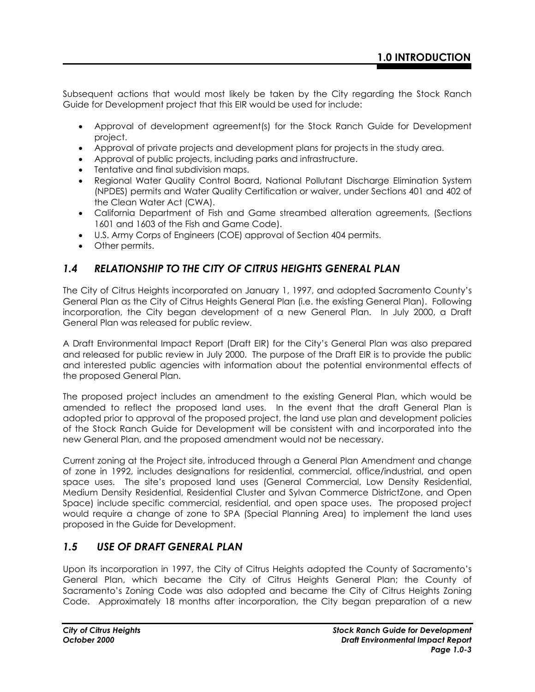Subsequent actions that would most likely be taken by the City regarding the Stock Ranch Guide for Development project that this EIR would be used for include:

- Approval of development agreement(s) for the Stock Ranch Guide for Development project.
- Approval of private projects and development plans for projects in the study area.
- Approval of public projects, including parks and infrastructure.
- Tentative and final subdivision maps.
- Regional Water Quality Control Board, National Pollutant Discharge Elimination System (NPDES) permits and Water Quality Certification or waiver, under Sections 401 and 402 of the Clean Water Act (CWA).
- California Department of Fish and Game streambed alteration agreements, (Sections 1601 and 1603 of the Fish and Game Code).
- U.S. Army Corps of Engineers (COE) approval of Section 404 permits.
- Other permits.

## *1.4 RELATIONSHIP TO THE CITY OF CITRUS HEIGHTS GENERAL PLAN*

The City of Citrus Heights incorporated on January 1, 1997, and adopted Sacramento County's General Plan as the City of Citrus Heights General Plan (i.e. the existing General Plan). Following incorporation, the City began development of a new General Plan. In July 2000, a Draft General Plan was released for public review.

A Draft Environmental Impact Report (Draft EIR) for the City's General Plan was also prepared and released for public review in July 2000. The purpose of the Draft EIR is to provide the public and interested public agencies with information about the potential environmental effects of the proposed General Plan.

The proposed project includes an amendment to the existing General Plan, which would be amended to reflect the proposed land uses. In the event that the draft General Plan is adopted prior to approval of the proposed project, the land use plan and development policies of the Stock Ranch Guide for Development will be consistent with and incorporated into the new General Plan, and the proposed amendment would not be necessary.

Current zoning at the Project site, introduced through a General Plan Amendment and change of zone in 1992, includes designations for residential, commercial, office/industrial, and open space uses. The site's proposed land uses (General Commercial, Low Density Residential, Medium Density Residential, Residential Cluster and Sylvan Commerce DistrictZone, and Open Space) include specific commercial, residential, and open space uses. The proposed project would require a change of zone to SPA (Special Planning Area) to implement the land uses proposed in the Guide for Development.

## *1.5 USE OF DRAFT GENERAL PLAN*

Upon its incorporation in 1997, the City of Citrus Heights adopted the County of Sacramento's General Plan, which became the City of Citrus Heights General Plan; the County of Sacramento's Zoning Code was also adopted and became the City of Citrus Heights Zoning Code. Approximately 18 months after incorporation, the City began preparation of a new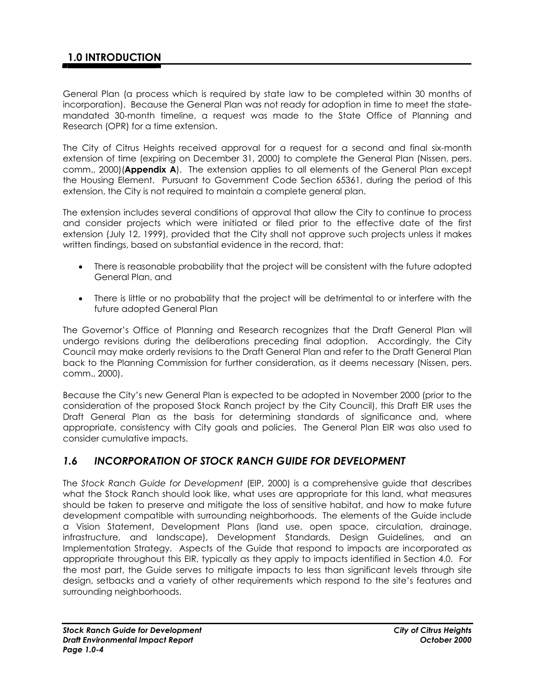# **1.0 INTRODUCTION**

General Plan (a process which is required by state law to be completed within 30 months of incorporation). Because the General Plan was not ready for adoption in time to meet the statemandated 30-month timeline, a request was made to the State Office of Planning and Research (OPR) for a time extension.

The City of Citrus Heights received approval for a request for a second and final six-month extension of time (expiring on December 31, 2000) to complete the General Plan (Nissen, pers. comm., 2000)(**Appendix A**). The extension applies to all elements of the General Plan except the Housing Element. Pursuant to Government Code Section 65361, during the period of this extension, the City is not required to maintain a complete general plan.

The extension includes several conditions of approval that allow the City to continue to process and consider projects which were initiated or filed prior to the effective date of the first extension (July 12, 1999), provided that the City shall not approve such projects unless it makes written findings, based on substantial evidence in the record, that:

- There is reasonable probability that the project will be consistent with the future adopted General Plan, and
- There is little or no probability that the project will be detrimental to or interfere with the future adopted General Plan

The Governor's Office of Planning and Research recognizes that the Draft General Plan will undergo revisions during the deliberations preceding final adoption. Accordingly, the City Council may make orderly revisions to the Draft General Plan and refer to the Draft General Plan back to the Planning Commission for further consideration, as it deems necessary (Nissen, pers. comm., 2000).

Because the City's new General Plan is expected to be adopted in November 2000 (prior to the consideration of the proposed Stock Ranch project by the City Council), this Draft EIR uses the Draft General Plan as the basis for determining standards of significance and, where appropriate, consistency with City goals and policies. The General Plan EIR was also used to consider cumulative impacts.

## *1.6 INCORPORATION OF STOCK RANCH GUIDE FOR DEVELOPMENT*

The *Stock Ranch Guide for Development* (EIP, 2000) is a comprehensive guide that describes what the Stock Ranch should look like, what uses are appropriate for this land, what measures should be taken to preserve and mitigate the loss of sensitive habitat, and how to make future development compatible with surrounding neighborhoods. The elements of the Guide include a Vision Statement, Development Plans (land use, open space, circulation, drainage, infrastructure, and landscape), Development Standards, Design Guidelines, and an Implementation Strategy. Aspects of the Guide that respond to impacts are incorporated as appropriate throughout this EIR, typically as they apply to impacts identified in Section 4.0. For the most part, the Guide serves to mitigate impacts to less than significant levels through site design, setbacks and a variety of other requirements which respond to the site's features and surrounding neighborhoods.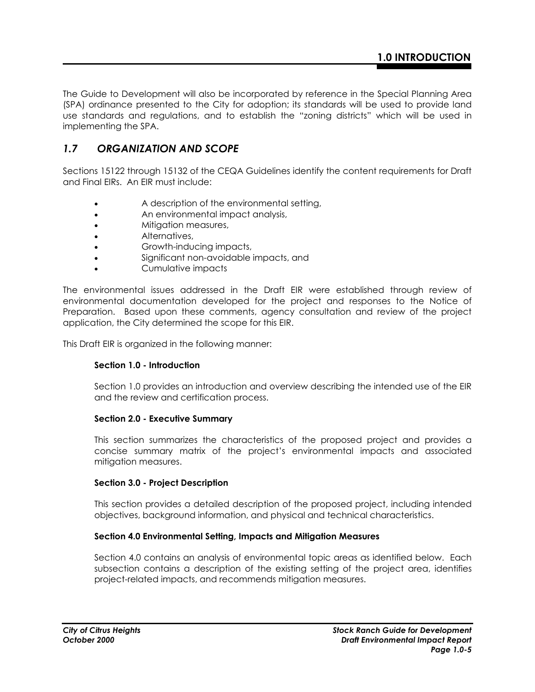The Guide to Development will also be incorporated by reference in the Special Planning Area (SPA) ordinance presented to the City for adoption; its standards will be used to provide land use standards and regulations, and to establish the "zoning districts" which will be used in implementing the SPA.

## *1.7 ORGANIZATION AND SCOPE*

Sections 15122 through 15132 of the CEQA Guidelines identify the content requirements for Draft and Final EIRs. An EIR must include:

- A description of the environmental setting,
- An environmental impact analysis,
- Mitigation measures,
- Alternatives,
- Growth-inducing impacts,
- Significant non-avoidable impacts, and
- Cumulative impacts

The environmental issues addressed in the Draft EIR were established through review of environmental documentation developed for the project and responses to the Notice of Preparation. Based upon these comments, agency consultation and review of the project application, the City determined the scope for this EIR.

This Draft EIR is organized in the following manner:

### **Section 1.0 - Introduction**

Section 1.0 provides an introduction and overview describing the intended use of the EIR and the review and certification process.

#### **Section 2.0 - Executive Summary**

This section summarizes the characteristics of the proposed project and provides a concise summary matrix of the project's environmental impacts and associated mitigation measures.

### **Section 3.0 - Project Description**

This section provides a detailed description of the proposed project, including intended objectives, background information, and physical and technical characteristics.

### **Section 4.0 Environmental Setting, Impacts and Mitigation Measures**

Section 4.0 contains an analysis of environmental topic areas as identified below. Each subsection contains a description of the existing setting of the project area, identifies project-related impacts, and recommends mitigation measures.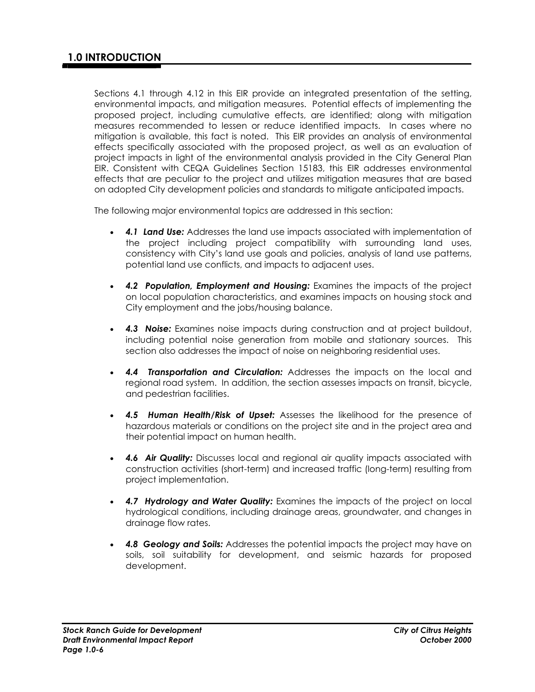Sections 4.1 through 4.12 in this EIR provide an integrated presentation of the setting, environmental impacts, and mitigation measures. Potential effects of implementing the proposed project, including cumulative effects, are identified; along with mitigation measures recommended to lessen or reduce identified impacts. In cases where no mitigation is available, this fact is noted. This EIR provides an analysis of environmental effects specifically associated with the proposed project, as well as an evaluation of project impacts in light of the environmental analysis provided in the City General Plan EIR. Consistent with CEQA Guidelines Section 15183, this EIR addresses environmental effects that are peculiar to the project and utilizes mitigation measures that are based on adopted City development policies and standards to mitigate anticipated impacts.

The following major environmental topics are addressed in this section:

- *4.1 Land Use:* Addresses the land use impacts associated with implementation of the project including project compatibility with surrounding land uses, consistency with City's land use goals and policies, analysis of land use patterns, potential land use conflicts, and impacts to adjacent uses.
- *4.2 Population, Employment and Housing:* Examines the impacts of the project on local population characteristics, and examines impacts on housing stock and City employment and the jobs/housing balance.
- *4.3 Noise:* Examines noise impacts during construction and at project buildout, including potential noise generation from mobile and stationary sources. This section also addresses the impact of noise on neighboring residential uses.
- *4.4 Transportation and Circulation:* Addresses the impacts on the local and regional road system. In addition, the section assesses impacts on transit, bicycle, and pedestrian facilities.
- *4.5 Human Health/Risk of Upset:* Assesses the likelihood for the presence of hazardous materials or conditions on the project site and in the project area and their potential impact on human health.
- *4.6 Air Quality:* Discusses local and regional air quality impacts associated with construction activities (short-term) and increased traffic (long-term) resulting from project implementation.
- *4.7 Hydrology and Water Quality:* Examines the impacts of the project on local hydrological conditions, including drainage areas, groundwater, and changes in drainage flow rates.
- **4.8 Geology and Soils:** Addresses the potential impacts the project may have on soils, soil suitability for development, and seismic hazards for proposed development.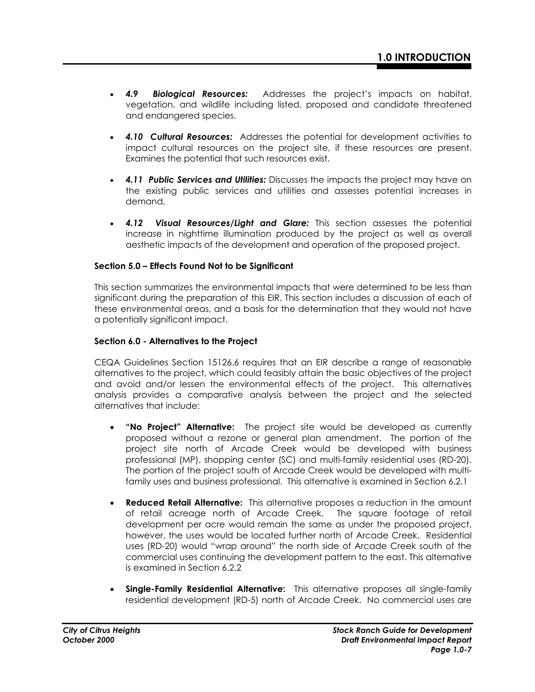- *4.9 Biological Resources:* Addresses the project's impacts on habitat, vegetation, and wildlife including listed, proposed and candidate threatened and endangered species.
- *4.10 Cultural Resources:* Addresses the potential for development activities to impact cultural resources on the project site, if these resources are present. Examines the potential that such resources exist.
- *4.11 Public Services and Utilities:* Discusses the impacts the project may have on the existing public services and utilities and assesses potential increases in demand.
- *4.12 Visual Resources/Light and Glare:* This section assesses the potential increase in nighttime illumination produced by the project as well as overall aesthetic impacts of the development and operation of the proposed project.

### **Section 5.0 – Effects Found Not to be Significant**

This section summarizes the environmental impacts that were determined to be less than significant during the preparation of this EIR. This section includes a discussion of each of these environmental areas, and a basis for the determination that they would not have a potentially significant impact.

### **Section 6.0 - Alternatives to the Project**

CEQA Guidelines Section 15126.6 requires that an EIR describe a range of reasonable alternatives to the project, which could feasibly attain the basic objectives of the project and avoid and/or lessen the environmental effects of the project. This alternatives analysis provides a comparative analysis between the project and the selected alternatives that include:

- **"No Project" Alternative:** The project site would be developed as currently proposed without a rezone or general plan amendment. The portion of the project site north of Arcade Creek would be developed with business professional (MP), shopping center (SC) and multi-family residential uses (RD-20). The portion of the project south of Arcade Creek would be developed with multifamily uses and business professional. This alternative is examined in Section 6.2.1
- **Reduced Retail Alternative:** This alternative proposes a reduction in the amount of retail acreage north of Arcade Creek. The square footage of retail development per acre would remain the same as under the proposed project, however, the uses would be located further north of Arcade Creek. Residential uses (RD-20) would "wrap around" the north side of Arcade Creek south of the commercial uses continuing the development pattern to the east. This alternative is examined in Section 6.2.2
- **Single-Family Residential Alternative:** This alternative proposes all single-family residential development (RD-5) north of Arcade Creek. No commercial uses are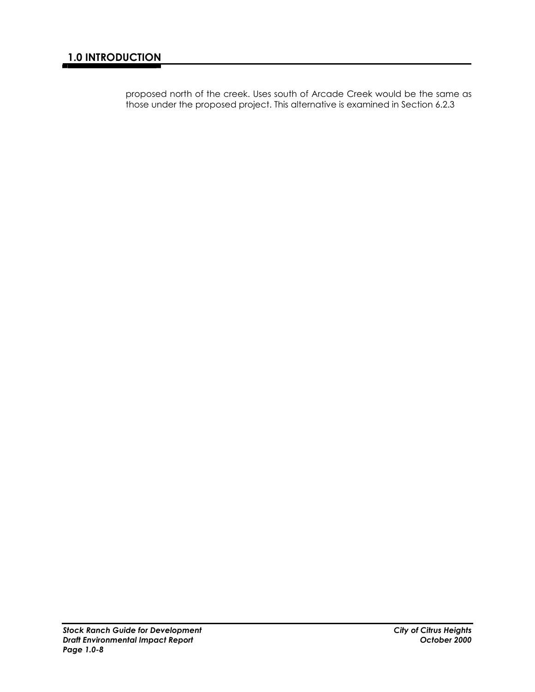proposed north of the creek. Uses south of Arcade Creek would be the same as those under the proposed project. This alternative is examined in Section 6.2.3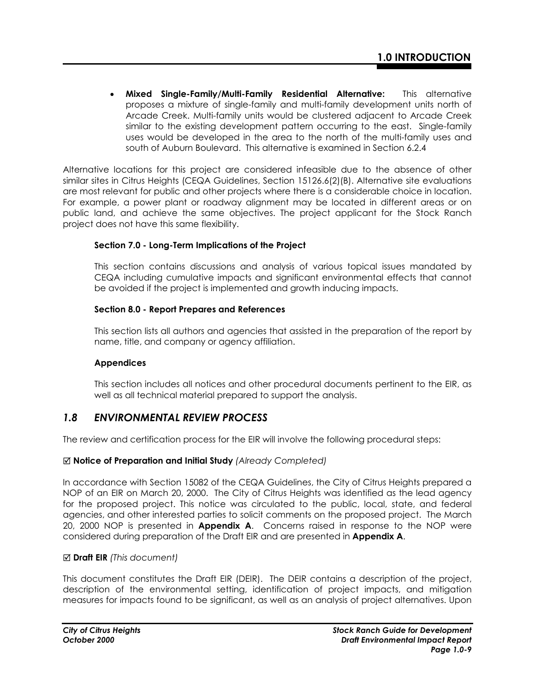• **Mixed Single-Family/Multi-Family Residential Alternative:** This alternative proposes a mixture of single-family and multi-family development units north of Arcade Creek. Multi-family units would be clustered adjacent to Arcade Creek similar to the existing development pattern occurring to the east. Single-family uses would be developed in the area to the north of the multi-family uses and south of Auburn Boulevard. This alternative is examined in Section 6.2.4

Alternative locations for this project are considered infeasible due to the absence of other similar sites in Citrus Heights (CEQA Guidelines, Section 15126.6(2)(B). Alternative site evaluations are most relevant for public and other projects where there is a considerable choice in location. For example, a power plant or roadway alignment may be located in different areas or on public land, and achieve the same objectives. The project applicant for the Stock Ranch project does not have this same flexibility.

## **Section 7.0 - Long-Term Implications of the Project**

This section contains discussions and analysis of various topical issues mandated by CEQA including cumulative impacts and significant environmental effects that cannot be avoided if the project is implemented and growth inducing impacts.

## **Section 8.0 - Report Prepares and References**

This section lists all authors and agencies that assisted in the preparation of the report by name, title, and company or agency affiliation.

## **Appendices**

This section includes all notices and other procedural documents pertinent to the EIR, as well as all technical material prepared to support the analysis.

## *1.8 ENVIRONMENTAL REVIEW PROCESS*

The review and certification process for the EIR will involve the following procedural steps:

## 5 **Notice of Preparation and Initial Study** *(Already Completed)*

In accordance with Section 15082 of the CEQA Guidelines, the City of Citrus Heights prepared a NOP of an EIR on March 20, 2000. The City of Citrus Heights was identified as the lead agency for the proposed project. This notice was circulated to the public, local, state, and federal agencies, and other interested parties to solicit comments on the proposed project. The March 20, 2000 NOP is presented in **Appendix A**. Concerns raised in response to the NOP were considered during preparation of the Draft EIR and are presented in **Appendix A**.

## 5 **Draft EIR** *(This document)*

This document constitutes the Draft EIR (DEIR). The DEIR contains a description of the project, description of the environmental setting, identification of project impacts, and mitigation measures for impacts found to be significant, as well as an analysis of project alternatives. Upon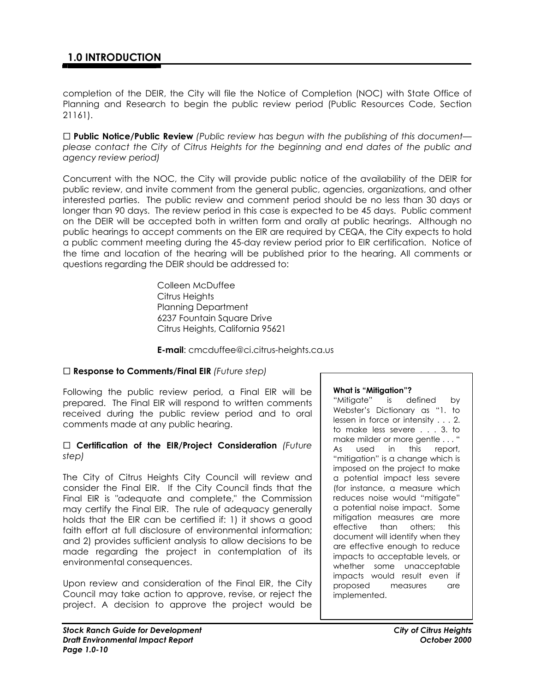completion of the DEIR, the City will file the Notice of Completion (NOC) with State Office of Planning and Research to begin the public review period (Public Resources Code, Section 21161).

 **Public Notice/Public Review** *(Public review has begun with the publishing of this document please contact the City of Citrus Heights for the beginning and end dates of the public and agency review period)*

Concurrent with the NOC, the City will provide public notice of the availability of the DEIR for public review, and invite comment from the general public, agencies, organizations, and other interested parties. The public review and comment period should be no less than 30 days or longer than 90 days. The review period in this case is expected to be 45 days. Public comment on the DEIR will be accepted both in written form and orally at public hearings. Although no public hearings to accept comments on the EIR are required by CEQA, the City expects to hold a public comment meeting during the 45-day review period prior to EIR certification. Notice of the time and location of the hearing will be published prior to the hearing. All comments or questions regarding the DEIR should be addressed to:

> Colleen McDuffee Citrus Heights Planning Department 6237 Fountain Square Drive Citrus Heights, California 95621

**E-mail**: cmcduffee@ci.citrus-heights.ca.us

### **Response to Comments/Final EIR** *(Future step)*

Following the public review period, a Final EIR will be prepared. The Final EIR will respond to written comments received during the public review period and to oral comments made at any public hearing.

#### **Certification of the EIR/Project Consideration** *(Future step)*

The City of Citrus Heights City Council will review and consider the Final EIR. If the City Council finds that the Final EIR is "adequate and complete," the Commission may certify the Final EIR. The rule of adequacy generally holds that the EIR can be certified if: 1) it shows a good faith effort at full disclosure of environmental information; and 2) provides sufficient analysis to allow decisions to be made regarding the project in contemplation of its environmental consequences.

Upon review and consideration of the Final EIR, the City Council may take action to approve, revise, or reject the project. A decision to approve the project would be

#### **What is "Mitigation"?**

"Mitigate" is defined by Webster's Dictionary as "1. to lessen in force or intensity . . . 2. to make less severe . . . 3. to make milder or more gentle . . . " As used in this report, "mitigation" is a change which is imposed on the project to make a potential impact less severe (for instance, a measure which reduces noise would "mitigate" a potential noise impact. Some mitigation measures are more effective than others; this document will identify when they are effective enough to reduce impacts to acceptable levels, or whether some unacceptable impacts would result even if proposed measures are implemented.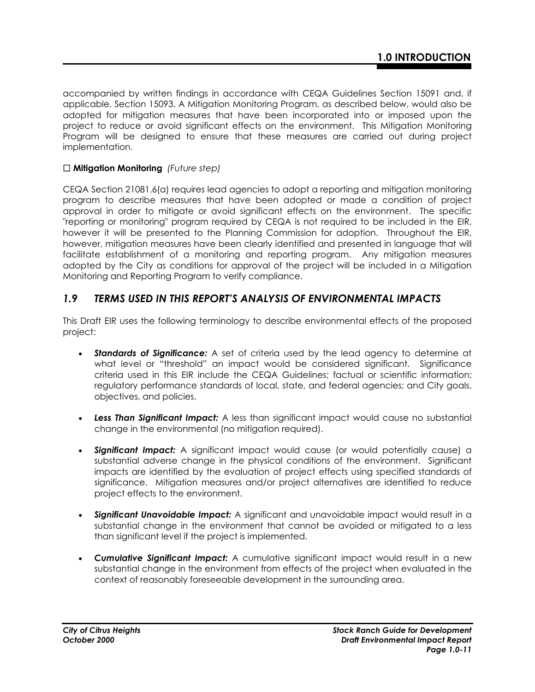accompanied by written findings in accordance with CEQA Guidelines Section 15091 and, if applicable, Section 15093. A Mitigation Monitoring Program, as described below, would also be adopted for mitigation measures that have been incorporated into or imposed upon the project to reduce or avoid significant effects on the environment. This Mitigation Monitoring Program will be designed to ensure that these measures are carried out during project implementation.

## **Mitigation Monitoring** *(Future step)*

CEQA Section 21081.6(a) requires lead agencies to adopt a reporting and mitigation monitoring program to describe measures that have been adopted or made a condition of project approval in order to mitigate or avoid significant effects on the environment. The specific "reporting or monitoring" program required by CEQA is not required to be included in the EIR, however it will be presented to the Planning Commission for adoption. Throughout the EIR, however, mitigation measures have been clearly identified and presented in language that will facilitate establishment of a monitoring and reporting program. Any mitigation measures adopted by the City as conditions for approval of the project will be included in a Mitigation Monitoring and Reporting Program to verify compliance.

## *1.9 TERMS USED IN THIS REPORT'S ANALYSIS OF ENVIRONMENTAL IMPACTS*

This Draft EIR uses the following terminology to describe environmental effects of the proposed project:

- **Standards of Significance:** A set of criteria used by the lead agency to determine at what level or "threshold" an impact would be considered significant. Significance criteria used in this EIR include the CEQA Guidelines; factual or scientific information; regulatory performance standards of local, state, and federal agencies; and City goals, objectives, and policies.
- *Less Than Significant Impact:* A less than significant impact would cause no substantial change in the environmental (no mitigation required).
- *Significant Impact:* A significant impact would cause (or would potentially cause) a substantial adverse change in the physical conditions of the environment. Significant impacts are identified by the evaluation of project effects using specified standards of significance. Mitigation measures and/or project alternatives are identified to reduce project effects to the environment.
- *Significant Unavoidable Impact:* A significant and unavoidable impact would result in a substantial change in the environment that cannot be avoided or mitigated to a less than significant level if the project is implemented.
- *Cumulative Significant Impact:* A cumulative significant impact would result in a new substantial change in the environment from effects of the project when evaluated in the context of reasonably foreseeable development in the surrounding area.